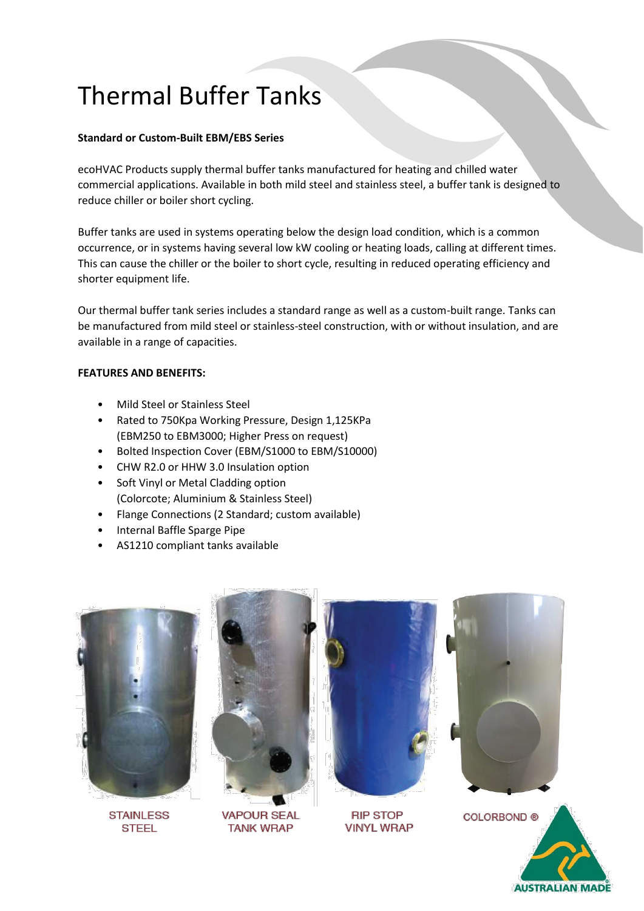## Thermal Buffer Tanks

## **Standard or Custom-Built EBM/EBS Series**

ecoHVAC Products supply thermal buffer tanks manufactured for heating and chilled water commercial applications. Available in both mild steel and stainless steel, a buffer tank is designed to reduce chiller or boiler short cycling.

Buffer tanks are used in systems operating below the design load condition, which is a common occurrence, or in systems having several low kW cooling or heating loads, calling at different times. This can cause the chiller or the boiler to short cycle, resulting in reduced operating efficiency and shorter equipment life.

Our thermal buffer tank series includes a standard range as well as a custom-built range. Tanks can be manufactured from mild steel or stainless-steel construction, with or without insulation, and are available in a range of capacities.

## **FEATURES AND BENEFITS:**

- Mild Steel or Stainless Steel
- Rated to 750Kpa Working Pressure, Design 1,125KPa (EBM250 to EBM3000; Higher Press on request)
- Bolted Inspection Cover (EBM/S1000 to EBM/S10000)
- CHW R2.0 or HHW 3.0 Insulation option
- Soft Vinyl or Metal Cladding option (Colorcote; Aluminium & Stainless Steel)
- Flange Connections (2 Standard; custom available)
- Internal Baffle Sparge Pipe
- AS1210 compliant tanks available



**STAINLESS STEEL** 



**VAPOUR SEAL TANK WRAP** 



**RIP STOP VINYL WRAP**